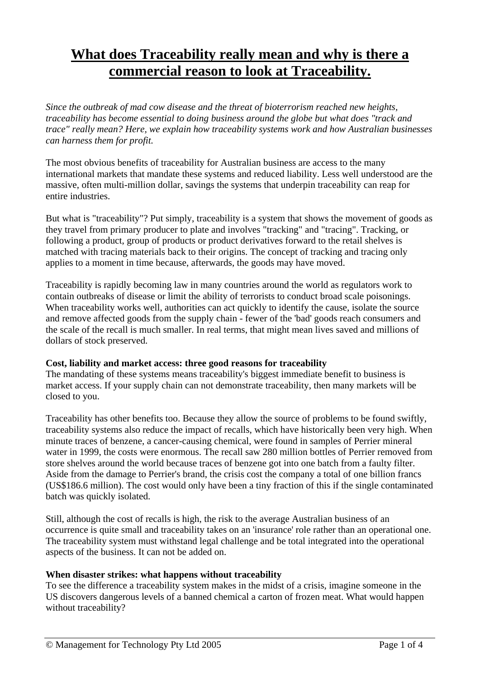# **What does Traceability really mean and why is there a commercial reason to look at Traceability.**

*Since the outbreak of mad cow disease and the threat of bioterrorism reached new heights, traceability has become essential to doing business around the globe but what does "track and trace" really mean? Here, we explain how traceability systems work and how Australian businesses can harness them for profit.* 

The most obvious benefits of traceability for Australian business are access to the many international markets that mandate these systems and reduced liability. Less well understood are the massive, often multi-million dollar, savings the systems that underpin traceability can reap for entire industries.

But what is "traceability"? Put simply, traceability is a system that shows the movement of goods as they travel from primary producer to plate and involves "tracking" and "tracing". Tracking, or following a product, group of products or product derivatives forward to the retail shelves is matched with tracing materials back to their origins. The concept of tracking and tracing only applies to a moment in time because, afterwards, the goods may have moved.

Traceability is rapidly becoming law in many countries around the world as regulators work to contain outbreaks of disease or limit the ability of terrorists to conduct broad scale poisonings. When traceability works well, authorities can act quickly to identify the cause, isolate the source and remove affected goods from the supply chain - fewer of the 'bad' goods reach consumers and the scale of the recall is much smaller. In real terms, that might mean lives saved and millions of dollars of stock preserved.

### **Cost, liability and market access: three good reasons for traceability**

The mandating of these systems means traceability's biggest immediate benefit to business is market access. If your supply chain can not demonstrate traceability, then many markets will be closed to you.

Traceability has other benefits too. Because they allow the source of problems to be found swiftly, traceability systems also reduce the impact of recalls, which have historically been very high. When minute traces of benzene, a cancer-causing chemical, were found in samples of Perrier mineral water in 1999, the costs were enormous. The recall saw 280 million bottles of Perrier removed from store shelves around the world because traces of benzene got into one batch from a faulty filter. Aside from the damage to Perrier's brand, the crisis cost the company a total of one billion francs (US\$186.6 million). The cost would only have been a tiny fraction of this if the single contaminated batch was quickly isolated.

Still, although the cost of recalls is high, the risk to the average Australian business of an occurrence is quite small and traceability takes on an 'insurance' role rather than an operational one. The traceability system must withstand legal challenge and be total integrated into the operational aspects of the business. It can not be added on.

#### **When disaster strikes: what happens without traceability**

To see the difference a traceability system makes in the midst of a crisis, imagine someone in the US discovers dangerous levels of a banned chemical a carton of frozen meat. What would happen without traceability?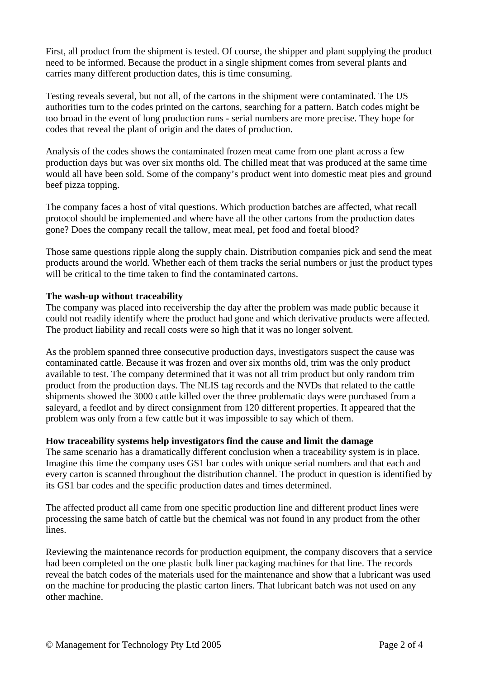First, all product from the shipment is tested. Of course, the shipper and plant supplying the product need to be informed. Because the product in a single shipment comes from several plants and carries many different production dates, this is time consuming.

Testing reveals several, but not all, of the cartons in the shipment were contaminated. The US authorities turn to the codes printed on the cartons, searching for a pattern. Batch codes might be too broad in the event of long production runs - serial numbers are more precise. They hope for codes that reveal the plant of origin and the dates of production.

Analysis of the codes shows the contaminated frozen meat came from one plant across a few production days but was over six months old. The chilled meat that was produced at the same time would all have been sold. Some of the company's product went into domestic meat pies and ground beef pizza topping.

The company faces a host of vital questions. Which production batches are affected, what recall protocol should be implemented and where have all the other cartons from the production dates gone? Does the company recall the tallow, meat meal, pet food and foetal blood?

Those same questions ripple along the supply chain. Distribution companies pick and send the meat products around the world. Whether each of them tracks the serial numbers or just the product types will be critical to the time taken to find the contaminated cartons.

### **The wash-up without traceability**

The company was placed into receivership the day after the problem was made public because it could not readily identify where the product had gone and which derivative products were affected. The product liability and recall costs were so high that it was no longer solvent.

As the problem spanned three consecutive production days, investigators suspect the cause was contaminated cattle. Because it was frozen and over six months old, trim was the only product available to test. The company determined that it was not all trim product but only random trim product from the production days. The NLIS tag records and the NVDs that related to the cattle shipments showed the 3000 cattle killed over the three problematic days were purchased from a saleyard, a feedlot and by direct consignment from 120 different properties. It appeared that the problem was only from a few cattle but it was impossible to say which of them.

### **How traceability systems help investigators find the cause and limit the damage**

The same scenario has a dramatically different conclusion when a traceability system is in place. Imagine this time the company uses GS1 bar codes with unique serial numbers and that each and every carton is scanned throughout the distribution channel. The product in question is identified by its GS1 bar codes and the specific production dates and times determined.

The affected product all came from one specific production line and different product lines were processing the same batch of cattle but the chemical was not found in any product from the other lines.

Reviewing the maintenance records for production equipment, the company discovers that a service had been completed on the one plastic bulk liner packaging machines for that line. The records reveal the batch codes of the materials used for the maintenance and show that a lubricant was used on the machine for producing the plastic carton liners. That lubricant batch was not used on any other machine.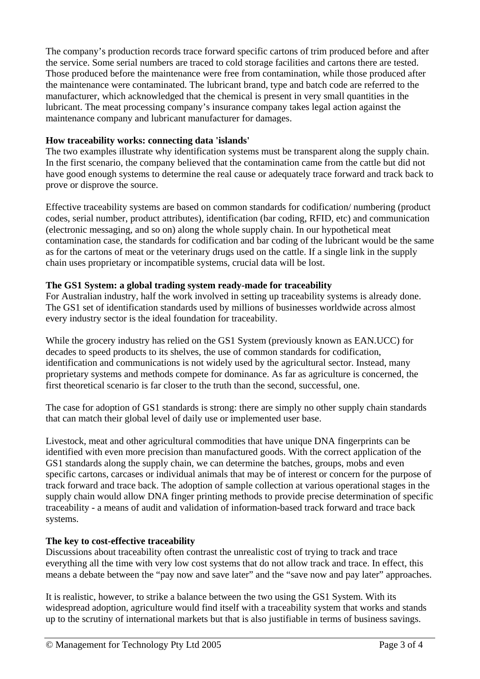The company's production records trace forward specific cartons of trim produced before and after the service. Some serial numbers are traced to cold storage facilities and cartons there are tested. Those produced before the maintenance were free from contamination, while those produced after the maintenance were contaminated. The lubricant brand, type and batch code are referred to the manufacturer, which acknowledged that the chemical is present in very small quantities in the lubricant. The meat processing company's insurance company takes legal action against the maintenance company and lubricant manufacturer for damages.

## **How traceability works: connecting data 'islands'**

The two examples illustrate why identification systems must be transparent along the supply chain. In the first scenario, the company believed that the contamination came from the cattle but did not have good enough systems to determine the real cause or adequately trace forward and track back to prove or disprove the source.

Effective traceability systems are based on common standards for codification/ numbering (product codes, serial number, product attributes), identification (bar coding, RFID, etc) and communication (electronic messaging, and so on) along the whole supply chain. In our hypothetical meat contamination case, the standards for codification and bar coding of the lubricant would be the same as for the cartons of meat or the veterinary drugs used on the cattle. If a single link in the supply chain uses proprietary or incompatible systems, crucial data will be lost.

### **The GS1 System: a global trading system ready-made for traceability**

For Australian industry, half the work involved in setting up traceability systems is already done. The GS1 set of identification standards used by millions of businesses worldwide across almost every industry sector is the ideal foundation for traceability.

While the grocery industry has relied on the GS1 System (previously known as EAN.UCC) for decades to speed products to its shelves, the use of common standards for codification, identification and communications is not widely used by the agricultural sector. Instead, many proprietary systems and methods compete for dominance. As far as agriculture is concerned, the first theoretical scenario is far closer to the truth than the second, successful, one.

The case for adoption of GS1 standards is strong: there are simply no other supply chain standards that can match their global level of daily use or implemented user base.

Livestock, meat and other agricultural commodities that have unique DNA fingerprints can be identified with even more precision than manufactured goods. With the correct application of the GS1 standards along the supply chain, we can determine the batches, groups, mobs and even specific cartons, carcases or individual animals that may be of interest or concern for the purpose of track forward and trace back. The adoption of sample collection at various operational stages in the supply chain would allow DNA finger printing methods to provide precise determination of specific traceability - a means of audit and validation of information-based track forward and trace back systems.

### **The key to cost-effective traceability**

Discussions about traceability often contrast the unrealistic cost of trying to track and trace everything all the time with very low cost systems that do not allow track and trace. In effect, this means a debate between the "pay now and save later" and the "save now and pay later" approaches.

It is realistic, however, to strike a balance between the two using the GS1 System. With its widespread adoption, agriculture would find itself with a traceability system that works and stands up to the scrutiny of international markets but that is also justifiable in terms of business savings.